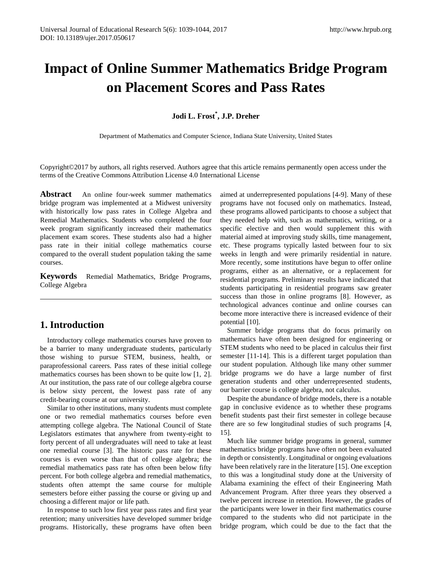# **Impact of Online Summer Mathematics Bridge Program on Placement Scores and Pass Rates**

**Jodi L. Frost\* , J.P. Dreher**

Department of Mathematics and Computer Science, Indiana State University, United States

Copyright©2017 by authors, all rights reserved. Authors agree that this article remains permanently open access under the terms of the Creative Commons Attribution License 4.0 International License

**Abstract** An online four-week summer mathematics bridge program was implemented at a Midwest university with historically low pass rates in College Algebra and Remedial Mathematics. Students who completed the four week program significantly increased their mathematics placement exam scores. These students also had a higher pass rate in their initial college mathematics course compared to the overall student population taking the same courses.

**Keywords** Remedial Mathematics, Bridge Programs, College Algebra

# **1. Introduction**

Introductory college mathematics courses have proven to be a barrier to many undergraduate students, particularly those wishing to pursue STEM, business, health, or paraprofessional careers. Pass rates of these initial college mathematics courses has been shown to be quite low [1, 2]. At our institution, the pass rate of our college algebra course is below sixty percent, the lowest pass rate of any credit-bearing course at our university.

Similar to other institutions, many students must complete one or two remedial mathematics courses before even attempting college algebra. The National Council of State Legislators estimates that anywhere from twenty-eight to forty percent of all undergraduates will need to take at least one remedial course [3]. The historic pass rate for these courses is even worse than that of college algebra; the remedial mathematics pass rate has often been below fifty percent. For both college algebra and remedial mathematics, students often attempt the same course for multiple semesters before either passing the course or giving up and choosing a different major or life path.

In response to such low first year pass rates and first year retention; many universities have developed summer bridge programs. Historically, these programs have often been aimed at underrepresented populations [4-9]. Many of these programs have not focused only on mathematics. Instead, these programs allowed participants to choose a subject that they needed help with, such as mathematics, writing, or a specific elective and then would supplement this with material aimed at improving study skills, time management, etc. These programs typically lasted between four to six weeks in length and were primarily residential in nature. More recently, some institutions have begun to offer online programs, either as an alternative, or a replacement for residential programs. Preliminary results have indicated that students participating in residential programs saw greater success than those in online programs [8]. However, as technological advances continue and online courses can become more interactive there is increased evidence of their potential [10].

Summer bridge programs that do focus primarily on mathematics have often been designed for engineering or STEM students who need to be placed in calculus their first semester [11-14]. This is a different target population than our student population. Although like many other summer bridge programs we do have a large number of first generation students and other underrepresented students, our barrier course is college algebra, not calculus.

Despite the abundance of bridge models, there is a notable gap in conclusive evidence as to whether these programs benefit students past their first semester in college because there are so few longitudinal studies of such programs [4, 15].

Much like summer bridge programs in general, summer mathematics bridge programs have often not been evaluated in depth or consistently. Longitudinal or ongoing evaluations have been relatively rare in the literature [15]. One exception to this was a longitudinal study done at the University of Alabama examining the effect of their Engineering Math Advancement Program. After three years they observed a twelve percent increase in retention. However, the grades of the participants were lower in their first mathematics course compared to the students who did not participate in the bridge program, which could be due to the fact that the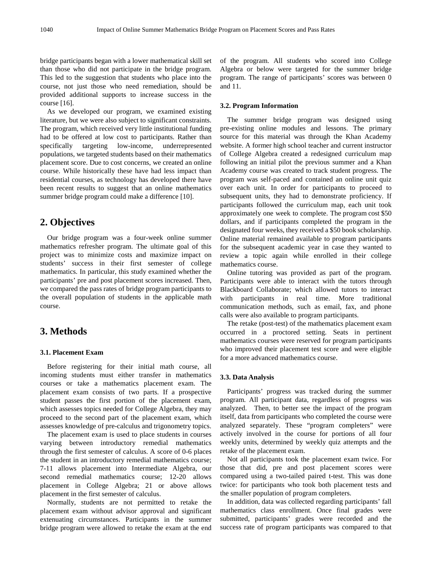bridge participants began with a lower mathematical skill set than those who did not participate in the bridge program. This led to the suggestion that students who place into the course, not just those who need remediation, should be provided additional supports to increase success in the course [16].

As we developed our program, we examined existing literature, but we were also subject to significant constraints. The program, which received very little institutional funding had to be offered at low cost to participants. Rather than specifically targeting low-income, underrepresented populations, we targeted students based on their mathematics placement score. Due to cost concerns, we created an online course. While historically these have had less impact than residential courses, as technology has developed there have been recent results to suggest that an online mathematics summer bridge program could make a difference [10].

## **2. Objectives**

Our bridge program was a four-week online summer mathematics refresher program. The ultimate goal of this project was to minimize costs and maximize impact on students' success in their first semester of college mathematics. In particular, this study examined whether the participants' pre and post placement scores increased. Then, we compared the pass rates of bridge program participants to the overall population of students in the applicable math course.

# **3. Methods**

### **3.1. Placement Exam**

Before registering for their initial math course, all incoming students must either transfer in mathematics courses or take a mathematics placement exam. The placement exam consists of two parts. If a prospective student passes the first portion of the placement exam, which assesses topics needed for College Algebra, they may proceed to the second part of the placement exam, which assesses knowledge of pre-calculus and trigonometry topics.

The placement exam is used to place students in courses varying between introductory remedial mathematics through the first semester of calculus. A score of 0-6 places the student in an introductory remedial mathematics course; 7-11 allows placement into Intermediate Algebra, our second remedial mathematics course; 12-20 allows placement in College Algebra; 21 or above allows placement in the first semester of calculus.

Normally, students are not permitted to retake the placement exam without advisor approval and significant extenuating circumstances. Participants in the summer bridge program were allowed to retake the exam at the end

of the program. All students who scored into College Algebra or below were targeted for the summer bridge program. The range of participants' scores was between 0 and 11.

### **3.2. Program Information**

The summer bridge program was designed using pre-existing online modules and lessons. The primary source for this material was through the Khan Academy website. A former high school teacher and current instructor of College Algebra created a redesigned curriculum map following an initial pilot the previous summer and a Khan Academy course was created to track student progress. The program was self-paced and contained an online unit quiz over each unit. In order for participants to proceed to subsequent units, they had to demonstrate proficiency. If participants followed the curriculum map, each unit took approximately one week to complete. The program cost \$50 dollars, and if participants completed the program in the designated four weeks, they received a \$50 book scholarship. Online material remained available to program participants for the subsequent academic year in case they wanted to review a topic again while enrolled in their college mathematics course.

Online tutoring was provided as part of the program. Participants were able to interact with the tutors through Blackboard Collaborate; which allowed tutors to interact with participants in real time. More traditional communication methods, such as email, fax, and phone calls were also available to program participants.

The retake (post-test) of the mathematics placement exam occurred in a proctored setting. Seats in pertinent mathematics courses were reserved for program participants who improved their placement test score and were eligible for a more advanced mathematics course.

### **3.3. Data Analysis**

Participants' progress was tracked during the summer program. All participant data, regardless of progress was analyzed. Then, to better see the impact of the program itself, data from participants who completed the course were analyzed separately. These "program completers" were actively involved in the course for portions of all four weekly units, determined by weekly quiz attempts and the retake of the placement exam.

Not all participants took the placement exam twice. For those that did, pre and post placement scores were compared using a two-tailed paired t-test. This was done twice: for participants who took both placement tests and the smaller population of program completers.

In addition, data was collected regarding participants' fall mathematics class enrollment. Once final grades were submitted, participants' grades were recorded and the success rate of program participants was compared to that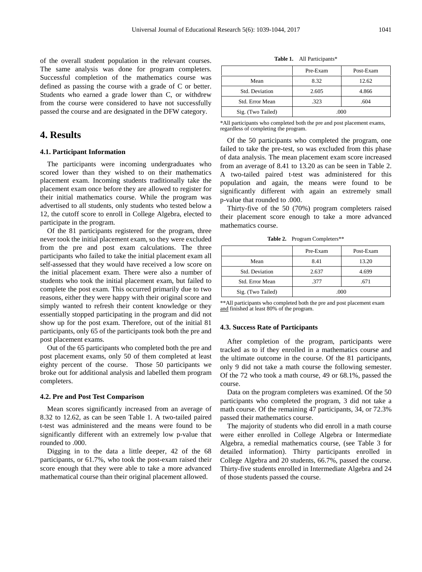of the overall student population in the relevant courses. The same analysis was done for program completers. Successful completion of the mathematics course was defined as passing the course with a grade of C or better. Students who earned a grade lower than C, or withdrew from the course were considered to have not successfully passed the course and are designated in the DFW category.

# **4. Results**

#### **4.1. Participant Information**

The participants were incoming undergraduates who scored lower than they wished to on their mathematics placement exam. Incoming students traditionally take the placement exam once before they are allowed to register for their initial mathematics course. While the program was advertised to all students, only students who tested below a 12, the cutoff score to enroll in College Algebra, elected to participate in the program.

Of the 81 participants registered for the program, three never took the initial placement exam, so they were excluded from the pre and post exam calculations. The three participants who failed to take the initial placement exam all self-assessed that they would have received a low score on the initial placement exam. There were also a number of students who took the initial placement exam, but failed to complete the post exam. This occurred primarily due to two reasons, either they were happy with their original score and simply wanted to refresh their content knowledge or they essentially stopped participating in the program and did not show up for the post exam. Therefore, out of the initial 81 participants, only 65 of the participants took both the pre and post placement exams.

Out of the 65 participants who completed both the pre and post placement exams, only 50 of them completed at least eighty percent of the course. Those 50 participants we broke out for additional analysis and labelled them program completers.

### **4.2. Pre and Post Test Comparison**

Mean scores significantly increased from an average of 8.32 to 12.62, as can be seen Table 1. A two-tailed paired t-test was administered and the means were found to be significantly different with an extremely low p-value that rounded to .000.

Digging in to the data a little deeper, 42 of the 68 participants, or 61.7%, who took the post-exam raised their score enough that they were able to take a more advanced mathematical course than their original placement allowed.

**Table 1.** All Participants\*

|                   | Pre-Exam | Post-Exam |  |
|-------------------|----------|-----------|--|
| Mean              | 8.32     | 12.62     |  |
| Std. Deviation    | 2.605    | 4.866     |  |
| Std. Error Mean   | .323     | .604      |  |
| Sig. (Two Tailed) | 000      |           |  |

\*All participants who completed both the pre and post placement exams, regardless of completing the program.

Of the 50 participants who completed the program, one failed to take the pre-test, so was excluded from this phase of data analysis. The mean placement exam score increased from an average of 8.41 to 13.20 as can be seen in Table 2. A two-tailed paired t-test was administered for this population and again, the means were found to be significantly different with again an extremely small p-value that rounded to .000.

Thirty-five of the 50 (70%) program completers raised their placement score enough to take a more advanced mathematics course.

**Table 2.** Program Completers\*\*

|                   | Pre-Exam | Post-Exam |  |
|-------------------|----------|-----------|--|
| Mean              | 8.41     | 13.20     |  |
| Std. Deviation    | 2.637    | 4.699     |  |
| Std. Error Mean   | .377     | .671      |  |
| Sig. (Two Tailed) | .000     |           |  |

\*\*All participants who completed both the pre and post placement exam and finished at least 80% of the program.

#### **4.3. Success Rate of Participants**

After completion of the program, participants were tracked as to if they enrolled in a mathematics course and the ultimate outcome in the course. Of the 81 participants, only 9 did not take a math course the following semester. Of the 72 who took a math course, 49 or 68.1%, passed the course.

Data on the program completers was examined. Of the 50 participants who completed the program, 3 did not take a math course. Of the remaining 47 participants, 34, or 72.3% passed their mathematics course.

The majority of students who did enroll in a math course were either enrolled in College Algebra or Intermediate Algebra, a remedial mathematics course, (see Table 3 for detailed information). Thirty participants enrolled in College Algebra and 20 students, 66.7%, passed the course. Thirty-five students enrolled in Intermediate Algebra and 24 of those students passed the course.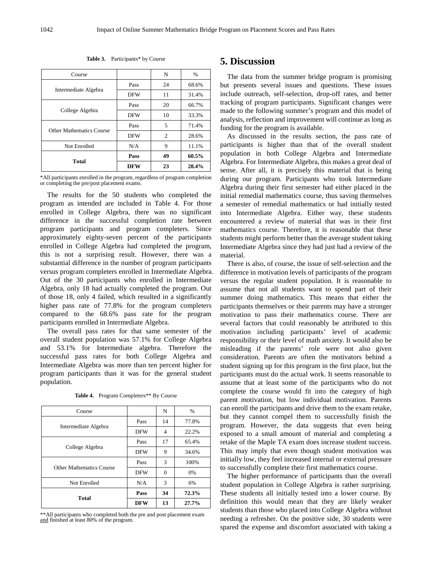| Course                                             |            | N  | %     |
|----------------------------------------------------|------------|----|-------|
|                                                    | Pass       | 24 | 68.6% |
| Intermediate Algebra                               | <b>DFW</b> | 11 | 31.4% |
|                                                    | Pass       | 20 | 66.7% |
| College Algebra<br><b>Other Mathematics Course</b> | <b>DFW</b> | 10 | 33.3% |
|                                                    | Pass       | 5  | 71.4% |
|                                                    | <b>DFW</b> | 2  | 28.6% |
| Not Enrolled                                       | N/A        | 9  | 11.1% |
|                                                    | Pass       | 49 | 60.5% |
| Total                                              | <b>DFW</b> | 23 | 28.4% |

**Table 3.** Participants\* by Course

\*All participants enrolled in the program, regardless of program completion or completing the pre/post placement exams.

The results for the 50 students who completed the program as intended are included in Table 4. For those enrolled in College Algebra, there was no significant difference in the successful completion rate between program participants and program completers. Since approximately eighty-seven percent of the participants enrolled in College Algebra had completed the program, this is not a surprising result. However, there was a substantial difference in the number of program participants versus program completers enrolled in Intermediate Algebra. Out of the 30 participants who enrolled in Intermediate Algebra, only 18 had actually completed the program. Out of those 18, only 4 failed, which resulted in a significantly higher pass rate of 77.8% for the program completers compared to the 68.6% pass rate for the program participants enrolled in Intermediate Algebra.

The overall pass rates for that same semester of the overall student population was 57.1% for College Algebra and 53.1% for Intermediate algebra. Therefore the successful pass rates for both College Algebra and Intermediate Algebra was more than ten percent higher for program participants than it was for the general student population.

Table 4. Program Completers\*\* By Course

| Course                          |            | N  | $\%$  |
|---------------------------------|------------|----|-------|
| Intermediate Algebra            | Pass       | 14 | 77.8% |
|                                 | <b>DFW</b> | 4  | 22.2% |
| College Algebra                 | Pass       | 17 | 65.4% |
|                                 | <b>DFW</b> | 9  | 34.6% |
| <b>Other Mathematics Course</b> | Pass       | 3  | 100%  |
|                                 | <b>DFW</b> | 0  | 0%    |
| Not Enrolled                    | N/A        | 3  | 6%    |
|                                 | Pass       | 34 | 72.3% |
| <b>Total</b>                    | <b>DFW</b> | 13 | 27.7% |

\*\*All participants who completed both the pre and post placement exam and finished at least 80% of the program.

### **5. Discussion**

The data from the summer bridge program is promising but presents several issues and questions. These issues include outreach, self-selection, drop-off rates, and better tracking of program participants. Significant changes were made to the following summer's program and this model of analysis, reflection and improvement will continue as long as funding for the program is available.

As discussed in the results section, the pass rate of participants is higher than that of the overall student population in both College Algebra and Intermediate Algebra. For Intermediate Algebra, this makes a great deal of sense. After all, it is precisely this material that is being during our program. Participants who took Intermediate Algebra during their first semester had either placed in the initial remedial mathematics course, thus saving themselves a semester of remedial mathematics or had initially tested into Intermediate Algebra. Either way, these students encountered a review of material that was in their first mathematics course. Therefore, it is reasonable that these students might perform better than the average student taking Intermediate Algebra since they had just had a review of the material.

There is also, of course, the issue of self-selection and the difference in motivation levels of participants of the program versus the regular student population. It is reasonable to assume that not all students want to spend part of their summer doing mathematics. This means that either the participants themselves or their parents may have a stronger motivation to pass their mathematics course. There are several factors that could reasonably be attributed to this motivation including participants' level of academic responsibility or their level of math anxiety. It would also be misleading if the parents' role were not also given consideration. Parents are often the motivators behind a student signing up for this program in the first place, but the participants must do the actual work. It seems reasonable to assume that at least some of the participants who do not complete the course would fit into the category of high parent motivation, but low individual motivation. Parents can enroll the participants and drive them to the exam retake, but they cannot compel them to successfully finish the program. However, the data suggests that even being exposed to a small amount of material and completing a retake of the Maple TA exam does increase student success. This may imply that even though student motivation was initially low, they feel increased internal or external pressure to successfully complete their first mathematics course.

The higher performance of participants than the overall student population in College Algebra is rather surprising. These students all initially tested into a lower course. By definition this would mean that they are likely weaker students than those who placed into College Algebra without needing a refresher. On the positive side, 30 students were spared the expense and discomfort associated with taking a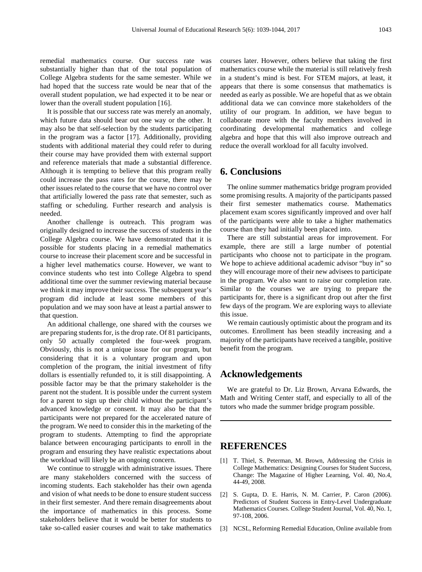remedial mathematics course. Our success rate was substantially higher than that of the total population of College Algebra students for the same semester. While we had hoped that the success rate would be near that of the overall student population, we had expected it to be near or lower than the overall student population [16].

It is possible that our success rate was merely an anomaly, which future data should bear out one way or the other. It may also be that self-selection by the students participating in the program was a factor [17]. Additionally, providing students with additional material they could refer to during their course may have provided them with external support and reference materials that made a substantial difference. Although it is tempting to believe that this program really could increase the pass rates for the course, there may be other issues related to the course that we have no control over that artificially lowered the pass rate that semester, such as staffing or scheduling. Further research and analysis is needed.

Another challenge is outreach. This program was originally designed to increase the success of students in the College Algebra course. We have demonstrated that it is possible for students placing in a remedial mathematics course to increase their placement score and be successful in a higher level mathematics course. However, we want to convince students who test into College Algebra to spend additional time over the summer reviewing material because we think it may improve their success. The subsequent year's program did include at least some members of this population and we may soon have at least a partial answer to that question.

An additional challenge, one shared with the courses we are preparing students for, is the drop rate. Of 81 participants, only 50 actually completed the four-week program. Obviously, this is not a unique issue for our program, but considering that it is a voluntary program and upon completion of the program, the initial investment of fifty dollars is essentially refunded to, it is still disappointing. A possible factor may be that the primary stakeholder is the parent not the student. It is possible under the current system for a parent to sign up their child without the participant's advanced knowledge or consent. It may also be that the participants were not prepared for the accelerated nature of the program. We need to consider this in the marketing of the program to students. Attempting to find the appropriate balance between encouraging participants to enroll in the program and ensuring they have realistic expectations about the workload will likely be an ongoing concern.

We continue to struggle with administrative issues. There are many stakeholders concerned with the success of incoming students. Each stakeholder has their own agenda and vision of what needs to be done to ensure student success in their first semester. And there remain disagreements about the importance of mathematics in this process. Some stakeholders believe that it would be better for students to take so-called easier courses and wait to take mathematics

courses later. However, others believe that taking the first mathematics course while the material is still relatively fresh in a student's mind is best. For STEM majors, at least, it appears that there is some consensus that mathematics is needed as early as possible. We are hopeful that as we obtain additional data we can convince more stakeholders of the utility of our program. In addition, we have begun to collaborate more with the faculty members involved in coordinating developmental mathematics and college algebra and hope that this will also improve outreach and reduce the overall workload for all faculty involved.

### **6. Conclusions**

The online summer mathematics bridge program provided some promising results. A majority of the participants passed their first semester mathematics course. Mathematics placement exam scores significantly improved and over half of the participants were able to take a higher mathematics course than they had initially been placed into.

There are still substantial areas for improvement. For example, there are still a large number of potential participants who choose not to participate in the program. We hope to achieve additional academic advisor "buy in" so they will encourage more of their new advisees to participate in the program. We also want to raise our completion rate. Similar to the courses we are trying to prepare the participants for, there is a significant drop out after the first few days of the program. We are exploring ways to alleviate this issue.

We remain cautiously optimistic about the program and its outcomes. Enrollment has been steadily increasing and a majority of the participants have received a tangible, positive benefit from the program.

### **Acknowledgements**

We are grateful to Dr. Liz Brown, Arvana Edwards, the Math and Writing Center staff, and especially to all of the tutors who made the summer bridge program possible.

# **REFERENCES**

- [1] T. Thiel, S. Peterman, M. Brown, Addressing the Crisis in College Mathematics: Designing Courses for Student Success, Change: The Magazine of Higher Learning, Vol. 40, No.4, 44-49, 2008.
- [2] S. Gupta, D. E. Harris, N. M. Carrier, P. Caron (2006). Predictors of Student Success in Entry-Level Undergraduate Mathematics Courses. College Student Journal, Vol. 40, No. 1, 97-108, 2006.
- [3] NCSL, Reforming Remedial Education, Online available from